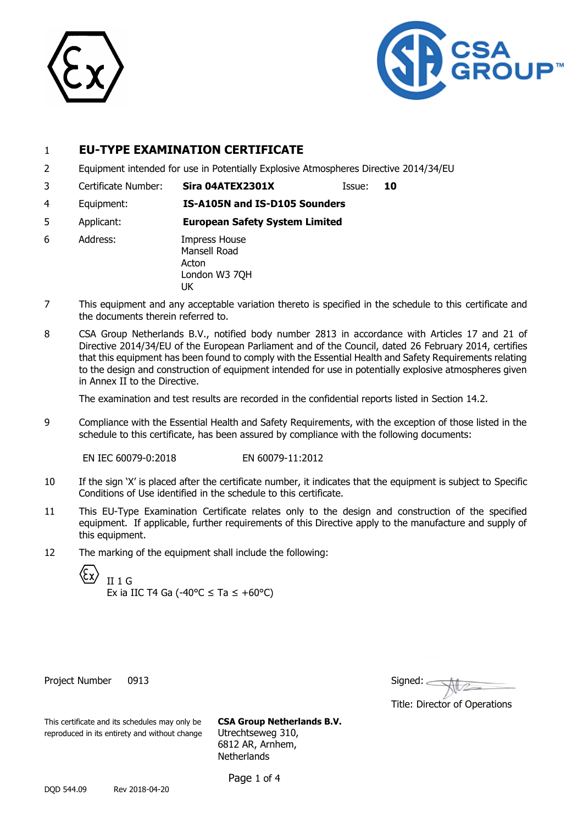



# 1 **EU-TYPE EXAMINATION CERTIFICATE**

- 2 Equipment intended for use in Potentially Explosive Atmospheres Directive 2014/34/EU
- 3 Certificate Number: **Sira 04ATEX2301X** Issue: **10**

- 4 Equipment: **IS-A105N and IS-D105 Sounders**
- 5 Applicant: **European Safety System Limited**
- 6 Address: Impress House Mansell Road Acton London W3 7QH UK
- 7 This equipment and any acceptable variation thereto is specified in the schedule to this certificate and the documents therein referred to.
- 8 CSA Group Netherlands B.V., notified body number 2813 in accordance with Articles 17 and 21 of Directive 2014/34/EU of the European Parliament and of the Council, dated 26 February 2014, certifies that this equipment has been found to comply with the Essential Health and Safety Requirements relating to the design and construction of equipment intended for use in potentially explosive atmospheres given in Annex II to the Directive.

The examination and test results are recorded in the confidential reports listed in Section 14.2.

9 Compliance with the Essential Health and Safety Requirements, with the exception of those listed in the schedule to this certificate, has been assured by compliance with the following documents:

EN IEC 60079-0:2018 EN 60079-11:2012

- 10 If the sign 'X' is placed after the certificate number, it indicates that the equipment is subject to Specific Conditions of Use identified in the schedule to this certificate.
- 11 This EU-Type Examination Certificate relates only to the design and construction of the specified equipment. If applicable, further requirements of this Directive apply to the manufacture and supply of this equipment.
- 12 The marking of the equipment shall include the following:

II 1 G Ex ia IIC T4 Ga (-40 $^{\circ}$ C  $\leq$  Ta  $\leq$  +60 $^{\circ}$ C)

Project Number 0913

| Signed: |  |  |
|---------|--|--|
|         |  |  |

Title: Director of Operations

This certificate and its schedules may only be **CSA Group Netherlands B.V.** reproduced in its entirety and without change Utrechtseweg 310,

6812 AR, Arnhem, **Netherlands** 

Page 1 of 4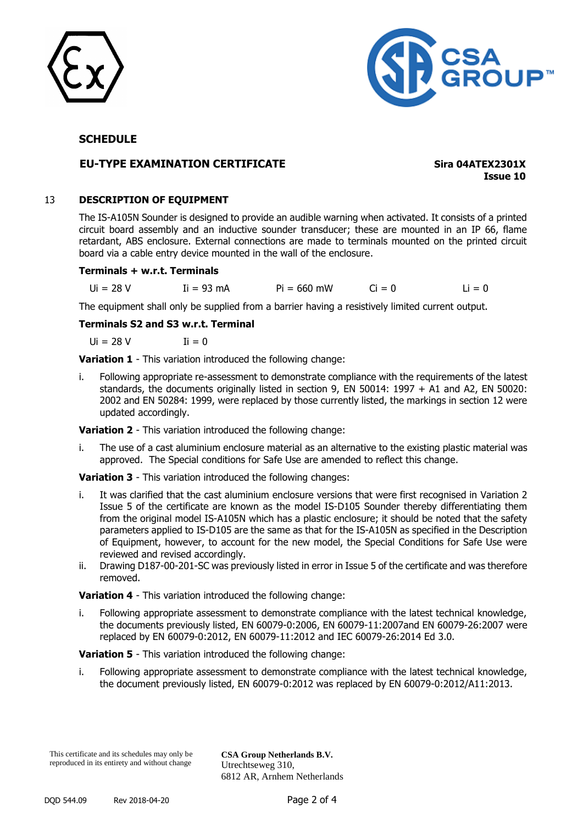



## **SCHEDULE**

## **EU-TYPE EXAMINATION CERTIFICATE Sira 04ATEX2301X**

**Issue 10**

## 13 **DESCRIPTION OF EQUIPMENT**

The IS-A105N Sounder is designed to provide an audible warning when activated. It consists of a printed circuit board assembly and an inductive sounder transducer; these are mounted in an IP 66, flame retardant, ABS enclosure. External connections are made to terminals mounted on the printed circuit board via a cable entry device mounted in the wall of the enclosure.

#### **Terminals + w.r.t. Terminals**

 $U = 28 \text{ V}$   $U = 93 \text{ mA}$   $P = 660 \text{ mW}$   $C = 0$   $L = 0$ 

The equipment shall only be supplied from a barrier having a resistively limited current output.

**Terminals S2 and S3 w.r.t. Terminal**

 $U = 28 V$   $U = 0$ 

**Variation 1** - This variation introduced the following change:

i. Following appropriate re-assessment to demonstrate compliance with the requirements of the latest standards, the documents originally listed in section 9, EN 50014: 1997 + A1 and A2, EN 50020: 2002 and EN 50284: 1999, were replaced by those currently listed, the markings in section 12 were updated accordingly.

**Variation 2** - This variation introduced the following change:

i. The use of a cast aluminium enclosure material as an alternative to the existing plastic material was approved. The Special conditions for Safe Use are amended to reflect this change.

**Variation 3** - This variation introduced the following changes:

- i. It was clarified that the cast aluminium enclosure versions that were first recognised in Variation 2 Issue 5 of the certificate are known as the model IS-D105 Sounder thereby differentiating them from the original model IS-A105N which has a plastic enclosure; it should be noted that the safety parameters applied to IS-D105 are the same as that for the IS-A105N as specified in the Description of Equipment, however, to account for the new model, the Special Conditions for Safe Use were reviewed and revised accordingly.
- ii. Drawing D187-00-201-SC was previously listed in error in Issue 5 of the certificate and was therefore removed.

**Variation 4** - This variation introduced the following change:

i. Following appropriate assessment to demonstrate compliance with the latest technical knowledge, the documents previously listed, EN 60079-0:2006, EN 60079-11:2007and EN 60079-26:2007 were replaced by EN 60079-0:2012, EN 60079-11:2012 and IEC 60079-26:2014 Ed 3.0.

**Variation 5** - This variation introduced the following change:

i. Following appropriate assessment to demonstrate compliance with the latest technical knowledge, the document previously listed, EN 60079-0:2012 was replaced by EN 60079-0:2012/A11:2013.

This certificate and its schedules may only be reproduced in its entirety and without change

**CSA Group Netherlands B.V.** Utrechtseweg 310, 6812 AR, Arnhem Netherlands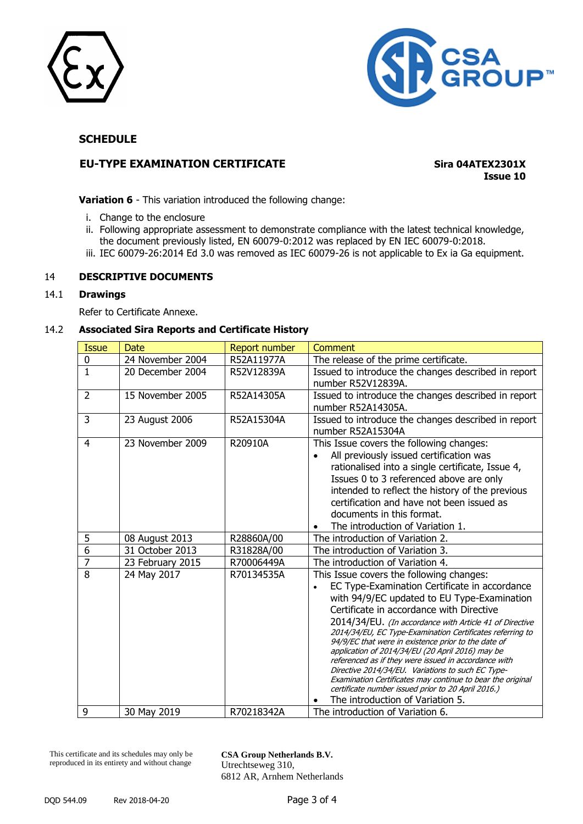



## **SCHEDULE**

## **EU-TYPE EXAMINATION CERTIFICATE Sira 04ATEX2301X**

**Issue 10**

**Variation 6** - This variation introduced the following change:

- i. Change to the enclosure
- ii. Following appropriate assessment to demonstrate compliance with the latest technical knowledge, the document previously listed, EN 60079-0:2012 was replaced by EN IEC 60079-0:2018.
- iii. IEC 60079-26:2014 Ed 3.0 was removed as IEC 60079-26 is not applicable to Ex ia Ga equipment.

## 14 **DESCRIPTIVE DOCUMENTS**

#### 14.1 **Drawings**

Refer to Certificate Annexe.

## 14.2 **Associated Sira Reports and Certificate History**

| <b>Issue</b>   | Date             | <b>Report number</b> | Comment                                                                                                                                                                                                                                                                                                                                                                                                                                                                                                                                                                                                                                                                                      |
|----------------|------------------|----------------------|----------------------------------------------------------------------------------------------------------------------------------------------------------------------------------------------------------------------------------------------------------------------------------------------------------------------------------------------------------------------------------------------------------------------------------------------------------------------------------------------------------------------------------------------------------------------------------------------------------------------------------------------------------------------------------------------|
| 0              | 24 November 2004 | R52A11977A           | The release of the prime certificate.                                                                                                                                                                                                                                                                                                                                                                                                                                                                                                                                                                                                                                                        |
| $\mathbf{1}$   | 20 December 2004 | R52V12839A           | Issued to introduce the changes described in report<br>number R52V12839A.                                                                                                                                                                                                                                                                                                                                                                                                                                                                                                                                                                                                                    |
| $\overline{2}$ | 15 November 2005 | R52A14305A           | Issued to introduce the changes described in report<br>number R52A14305A.                                                                                                                                                                                                                                                                                                                                                                                                                                                                                                                                                                                                                    |
| 3              | 23 August 2006   | R52A15304A           | Issued to introduce the changes described in report<br>number R52A15304A                                                                                                                                                                                                                                                                                                                                                                                                                                                                                                                                                                                                                     |
| 4              | 23 November 2009 | R20910A              | This Issue covers the following changes:<br>All previously issued certification was<br>rationalised into a single certificate, Issue 4,<br>Issues 0 to 3 referenced above are only<br>intended to reflect the history of the previous<br>certification and have not been issued as<br>documents in this format.<br>The introduction of Variation 1.                                                                                                                                                                                                                                                                                                                                          |
| 5              | 08 August 2013   | R28860A/00           | The introduction of Variation 2.                                                                                                                                                                                                                                                                                                                                                                                                                                                                                                                                                                                                                                                             |
| $\overline{6}$ | 31 October 2013  | R31828A/00           | The introduction of Variation 3.                                                                                                                                                                                                                                                                                                                                                                                                                                                                                                                                                                                                                                                             |
| $\overline{7}$ | 23 February 2015 | R70006449A           | The introduction of Variation 4.                                                                                                                                                                                                                                                                                                                                                                                                                                                                                                                                                                                                                                                             |
| 8              | 24 May 2017      | R70134535A           | This Issue covers the following changes:<br>EC Type-Examination Certificate in accordance<br>with 94/9/EC updated to EU Type-Examination<br>Certificate in accordance with Directive<br>2014/34/EU. (In accordance with Article 41 of Directive<br>2014/34/EU, EC Type-Examination Certificates referring to<br>94/9/EC that were in existence prior to the date of<br>application of 2014/34/EU (20 April 2016) may be<br>referenced as if they were issued in accordance with<br>Directive 2014/34/EU. Variations to such EC Type-<br>Examination Certificates may continue to bear the original<br>certificate number issued prior to 20 April 2016.)<br>The introduction of Variation 5. |
| 9              | 30 May 2019      | R70218342A           | The introduction of Variation 6.                                                                                                                                                                                                                                                                                                                                                                                                                                                                                                                                                                                                                                                             |

This certificate and its schedules may only be reproduced in its entirety and without change

**CSA Group Netherlands B.V.** Utrechtseweg 310, 6812 AR, Arnhem Netherlands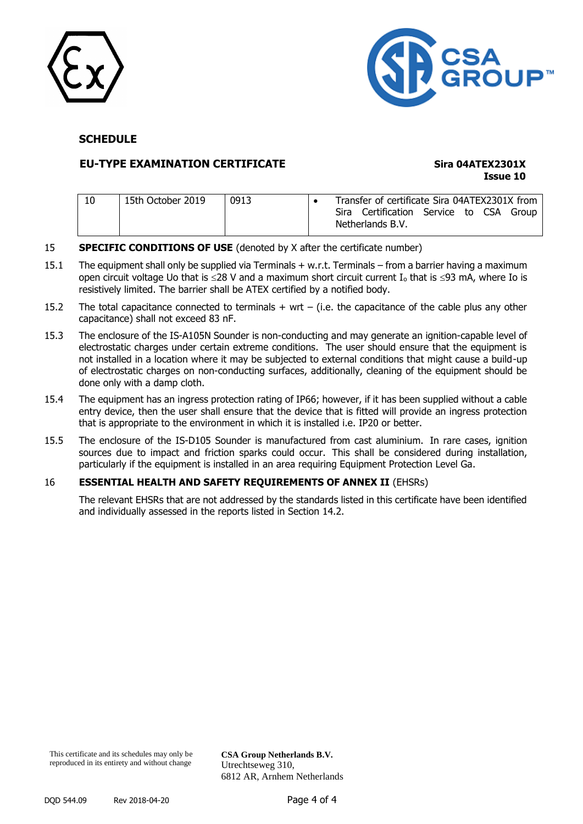



## **SCHEDULE**

## **EU-TYPE EXAMINATION CERTIFICATE Sira 04ATEX2301X**

# **Issue 10**

| 15th October 2019 | 0913 |  | Transfer of certificate Sira 04ATEX2301X from               |  |  |
|-------------------|------|--|-------------------------------------------------------------|--|--|
|                   |      |  | Sira Certification Service to CSA Group<br>Netherlands B.V. |  |  |

- **SPECIFIC CONDITIONS OF USE** (denoted by X after the certificate number)
- 15.1 The equipment shall only be supplied via Terminals + w.r.t. Terminals from a barrier having a maximum open circuit voltage Uo that is  $\leq$ 28 V and a maximum short circuit current I<sub>o</sub> that is  $\leq$ 93 mA, where Io is resistively limited. The barrier shall be ATEX certified by a notified body.
- 15.2 The total capacitance connected to terminals  $+$  wrt  $-$  (i.e. the capacitance of the cable plus any other capacitance) shall not exceed 83 nF.
- 15.3 The enclosure of the IS-A105N Sounder is non-conducting and may generate an ignition-capable level of electrostatic charges under certain extreme conditions. The user should ensure that the equipment is not installed in a location where it may be subjected to external conditions that might cause a build-up of electrostatic charges on non-conducting surfaces, additionally, cleaning of the equipment should be done only with a damp cloth.
- 15.4 The equipment has an ingress protection rating of IP66; however, if it has been supplied without a cable entry device, then the user shall ensure that the device that is fitted will provide an ingress protection that is appropriate to the environment in which it is installed i.e. IP20 or better.
- 15.5 The enclosure of the IS-D105 Sounder is manufactured from cast aluminium. In rare cases, ignition sources due to impact and friction sparks could occur. This shall be considered during installation, particularly if the equipment is installed in an area requiring Equipment Protection Level Ga.

### 16 **ESSENTIAL HEALTH AND SAFETY REQUIREMENTS OF ANNEX II** (EHSRs)

The relevant EHSRs that are not addressed by the standards listed in this certificate have been identified and individually assessed in the reports listed in Section 14.2.

This certificate and its schedules may only be reproduced in its entirety and without change

**CSA Group Netherlands B.V.** Utrechtseweg 310, 6812 AR, Arnhem Netherlands